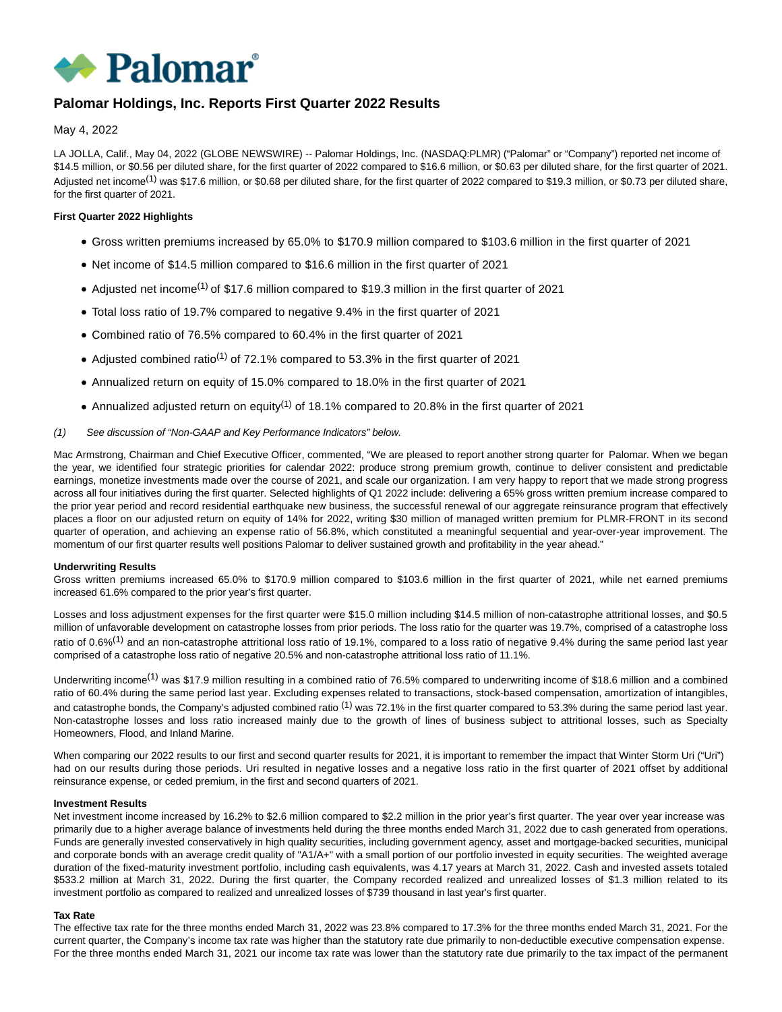

# **Palomar Holdings, Inc. Reports First Quarter 2022 Results**

May 4, 2022

LA JOLLA, Calif., May 04, 2022 (GLOBE NEWSWIRE) -- Palomar Holdings, Inc. (NASDAQ:PLMR) ("Palomar" or "Company") reported net income of \$14.5 million, or \$0.56 per diluted share, for the first quarter of 2022 compared to \$16.6 million, or \$0.63 per diluted share, for the first quarter of 2021. Adiusted net income<sup>(1)</sup> was \$17.6 million, or \$0.68 per diluted share, for the first quarter of 2022 compared to \$19.3 million, or \$0.73 per diluted share, for the first quarter of 2021.

### **First Quarter 2022 Highlights**

- Gross written premiums increased by 65.0% to \$170.9 million compared to \$103.6 million in the first quarter of 2021
- Net income of \$14.5 million compared to \$16.6 million in the first quarter of 2021
- Adjusted net income<sup>(1)</sup> of \$17.6 million compared to \$19.3 million in the first quarter of 2021
- Total loss ratio of 19.7% compared to negative 9.4% in the first quarter of 2021
- Combined ratio of 76.5% compared to 60.4% in the first quarter of 2021
- Adjusted combined ratio<sup>(1)</sup> of 72.1% compared to 53.3% in the first quarter of 2021
- Annualized return on equity of 15.0% compared to 18.0% in the first quarter of 2021
- Annualized adjusted return on equity<sup>(1)</sup> of 18.1% compared to 20.8% in the first quarter of 2021
- (1) See discussion of "Non-GAAP and Key Performance Indicators" below.

Mac Armstrong, Chairman and Chief Executive Officer, commented, "We are pleased to report another strong quarter for Palomar. When we began the year, we identified four strategic priorities for calendar 2022: produce strong premium growth, continue to deliver consistent and predictable earnings, monetize investments made over the course of 2021, and scale our organization. I am very happy to report that we made strong progress across all four initiatives during the first quarter. Selected highlights of Q1 2022 include: delivering a 65% gross written premium increase compared to the prior year period and record residential earthquake new business, the successful renewal of our aggregate reinsurance program that effectively places a floor on our adjusted return on equity of 14% for 2022, writing \$30 million of managed written premium for PLMR-FRONT in its second quarter of operation, and achieving an expense ratio of 56.8%, which constituted a meaningful sequential and year-over-year improvement. The momentum of our first quarter results well positions Palomar to deliver sustained growth and profitability in the year ahead."

#### **Underwriting Results**

Gross written premiums increased 65.0% to \$170.9 million compared to \$103.6 million in the first quarter of 2021, while net earned premiums increased 61.6% compared to the prior year's first quarter.

Losses and loss adjustment expenses for the first quarter were \$15.0 million including \$14.5 million of non-catastrophe attritional losses, and \$0.5 million of unfavorable development on catastrophe losses from prior periods. The loss ratio for the quarter was 19.7%, comprised of a catastrophe loss ratio of 0.6%<sup>(1)</sup> and an non-catastrophe attritional loss ratio of 19.1%, compared to a loss ratio of negative 9.4% during the same period last year comprised of a catastrophe loss ratio of negative 20.5% and non-catastrophe attritional loss ratio of 11.1%.

Underwriting income<sup>(1)</sup> was \$17.9 million resulting in a combined ratio of 76.5% compared to underwriting income of \$18.6 million and a combined ratio of 60.4% during the same period last year. Excluding expenses related to transactions, stock-based compensation, amortization of intangibles, and catastrophe bonds, the Company's adjusted combined ratio  $(1)$  was 72.1% in the first quarter compared to 53.3% during the same period last year. Non-catastrophe losses and loss ratio increased mainly due to the growth of lines of business subject to attritional losses, such as Specialty Homeowners, Flood, and Inland Marine.

When comparing our 2022 results to our first and second quarter results for 2021, it is important to remember the impact that Winter Storm Uri ("Uri") had on our results during those periods. Uri resulted in negative losses and a negative loss ratio in the first quarter of 2021 offset by additional reinsurance expense, or ceded premium, in the first and second quarters of 2021.

### **Investment Results**

Net investment income increased by 16.2% to \$2.6 million compared to \$2.2 million in the prior year's first quarter. The year over year increase was primarily due to a higher average balance of investments held during the three months ended March 31, 2022 due to cash generated from operations. Funds are generally invested conservatively in high quality securities, including government agency, asset and mortgage-backed securities, municipal and corporate bonds with an average credit quality of "A1/A+" with a small portion of our portfolio invested in equity securities. The weighted average duration of the fixed-maturity investment portfolio, including cash equivalents, was 4.17 years at March 31, 2022. Cash and invested assets totaled \$533.2 million at March 31, 2022. During the first quarter, the Company recorded realized and unrealized losses of \$1.3 million related to its investment portfolio as compared to realized and unrealized losses of \$739 thousand in last year's first quarter.

### **Tax Rate**

The effective tax rate for the three months ended March 31, 2022 was 23.8% compared to 17.3% for the three months ended March 31, 2021. For the current quarter, the Company's income tax rate was higher than the statutory rate due primarily to non-deductible executive compensation expense. For the three months ended March 31, 2021 our income tax rate was lower than the statutory rate due primarily to the tax impact of the permanent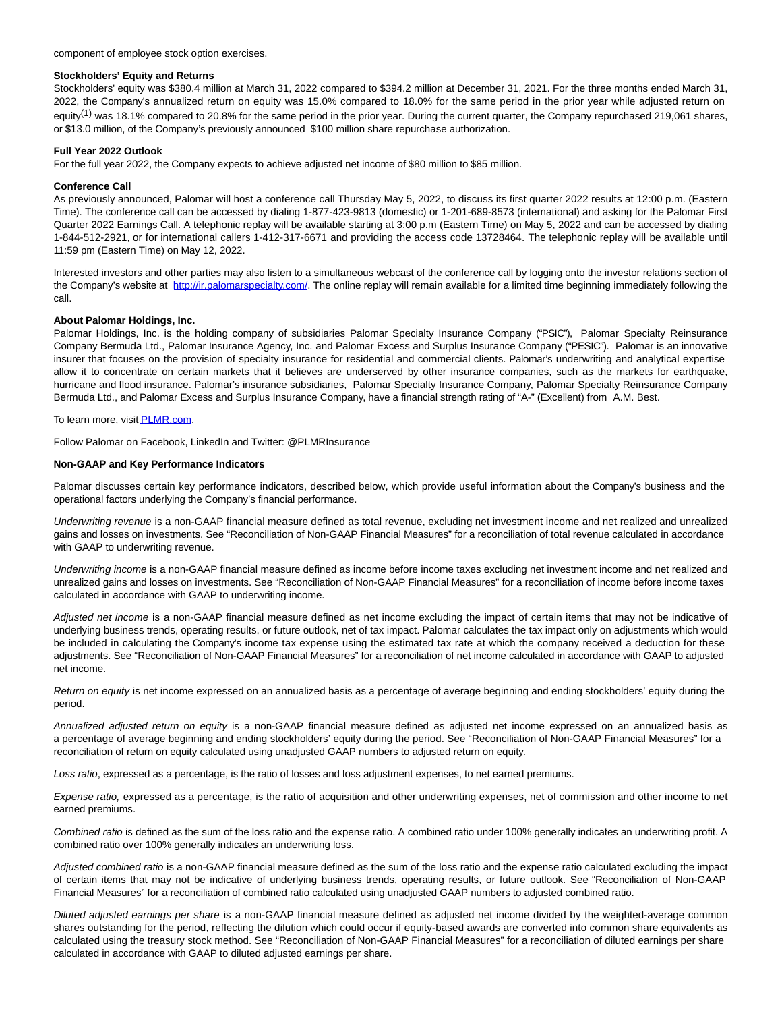component of employee stock option exercises.

#### **Stockholders' Equity and Returns**

Stockholders' equity was \$380.4 million at March 31, 2022 compared to \$394.2 million at December 31, 2021. For the three months ended March 31, 2022, the Company's annualized return on equity was 15.0% compared to 18.0% for the same period in the prior year while adjusted return on equity<sup>(1)</sup> was 18.1% compared to 20.8% for the same period in the prior year. During the current quarter, the Company repurchased 219,061 shares, or \$13.0 million, of the Company's previously announced \$100 million share repurchase authorization.

### **Full Year 2022 Outlook**

For the full year 2022, the Company expects to achieve adjusted net income of \$80 million to \$85 million.

### **Conference Call**

As previously announced, Palomar will host a conference call Thursday May 5, 2022, to discuss its first quarter 2022 results at 12:00 p.m. (Eastern Time). The conference call can be accessed by dialing 1-877-423-9813 (domestic) or 1-201-689-8573 (international) and asking for the Palomar First Quarter 2022 Earnings Call. A telephonic replay will be available starting at 3:00 p.m (Eastern Time) on May 5, 2022 and can be accessed by dialing 1-844-512-2921, or for international callers 1-412-317-6671 and providing the access code 13728464. The telephonic replay will be available until 11:59 pm (Eastern Time) on May 12, 2022.

Interested investors and other parties may also listen to a simultaneous webcast of the conference call by logging onto the investor relations section of the Company's website at [http://ir.palomarspecialty.com/.](http://ir.palomarspecialty.com/) The online replay will remain available for a limited time beginning immediately following the call.

### **About Palomar Holdings, Inc.**

Palomar Holdings, Inc. is the holding company of subsidiaries Palomar Specialty Insurance Company ("PSIC"), Palomar Specialty Reinsurance Company Bermuda Ltd., Palomar Insurance Agency, Inc. and Palomar Excess and Surplus Insurance Company ("PESIC"). Palomar is an innovative insurer that focuses on the provision of specialty insurance for residential and commercial clients. Palomar's underwriting and analytical expertise allow it to concentrate on certain markets that it believes are underserved by other insurance companies, such as the markets for earthquake, hurricane and flood insurance. Palomar's insurance subsidiaries, Palomar Specialty Insurance Company, Palomar Specialty Reinsurance Company Bermuda Ltd., and Palomar Excess and Surplus Insurance Company, have a financial strength rating of "A-" (Excellent) from A.M. Best.

To learn more, visit **PLMR.com**.

Follow Palomar on Facebook, LinkedIn and Twitter: @PLMRInsurance

### **Non-GAAP and Key Performance Indicators**

Palomar discusses certain key performance indicators, described below, which provide useful information about the Company's business and the operational factors underlying the Company's financial performance.

Underwriting revenue is a non-GAAP financial measure defined as total revenue, excluding net investment income and net realized and unrealized gains and losses on investments. See "Reconciliation of Non-GAAP Financial Measures" for a reconciliation of total revenue calculated in accordance with GAAP to underwriting revenue.

Underwriting income is a non-GAAP financial measure defined as income before income taxes excluding net investment income and net realized and unrealized gains and losses on investments. See "Reconciliation of Non-GAAP Financial Measures" for a reconciliation of income before income taxes calculated in accordance with GAAP to underwriting income.

Adjusted net income is a non-GAAP financial measure defined as net income excluding the impact of certain items that may not be indicative of underlying business trends, operating results, or future outlook, net of tax impact. Palomar calculates the tax impact only on adjustments which would be included in calculating the Company's income tax expense using the estimated tax rate at which the company received a deduction for these adjustments. See "Reconciliation of Non-GAAP Financial Measures" for a reconciliation of net income calculated in accordance with GAAP to adjusted net income.

Return on equity is net income expressed on an annualized basis as a percentage of average beginning and ending stockholders' equity during the period.

Annualized adjusted return on equity is a non-GAAP financial measure defined as adjusted net income expressed on an annualized basis as a percentage of average beginning and ending stockholders' equity during the period. See "Reconciliation of Non-GAAP Financial Measures" for a reconciliation of return on equity calculated using unadjusted GAAP numbers to adjusted return on equity.

Loss ratio, expressed as a percentage, is the ratio of losses and loss adjustment expenses, to net earned premiums.

Expense ratio, expressed as a percentage, is the ratio of acquisition and other underwriting expenses, net of commission and other income to net earned premiums.

Combined ratio is defined as the sum of the loss ratio and the expense ratio. A combined ratio under 100% generally indicates an underwriting profit. A combined ratio over 100% generally indicates an underwriting loss.

Adjusted combined ratio is a non-GAAP financial measure defined as the sum of the loss ratio and the expense ratio calculated excluding the impact of certain items that may not be indicative of underlying business trends, operating results, or future outlook. See "Reconciliation of Non-GAAP Financial Measures" for a reconciliation of combined ratio calculated using unadjusted GAAP numbers to adjusted combined ratio.

Diluted adjusted earnings per share is a non-GAAP financial measure defined as adjusted net income divided by the weighted-average common shares outstanding for the period, reflecting the dilution which could occur if equity-based awards are converted into common share equivalents as calculated using the treasury stock method. See "Reconciliation of Non-GAAP Financial Measures" for a reconciliation of diluted earnings per share calculated in accordance with GAAP to diluted adjusted earnings per share.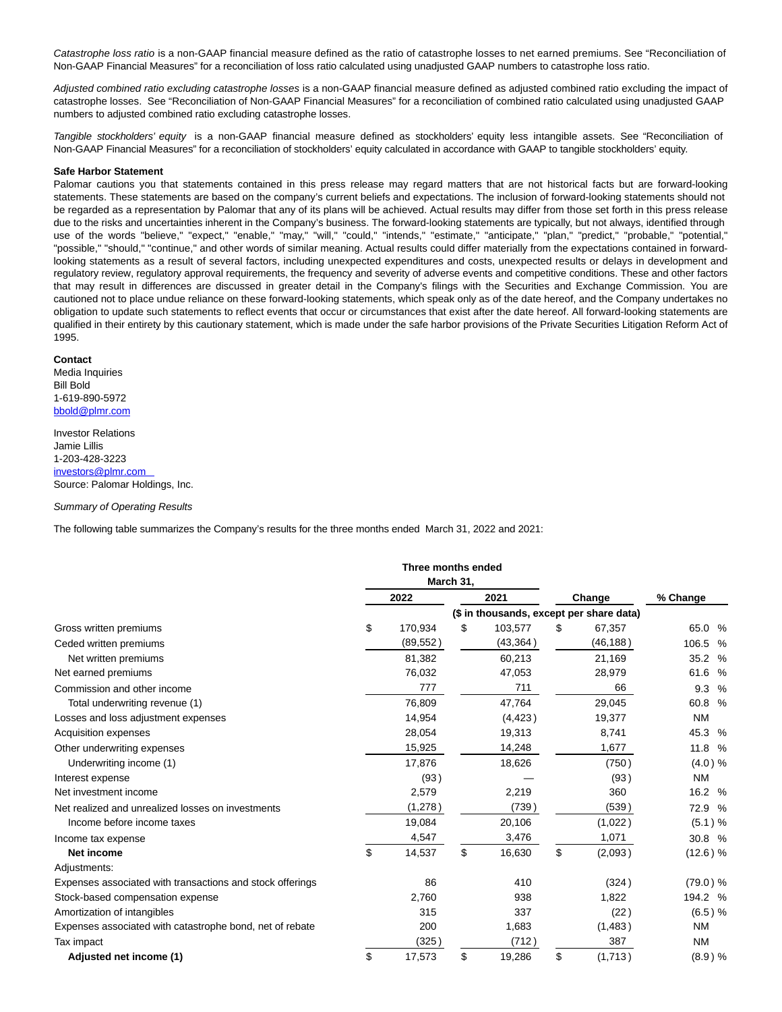Catastrophe loss ratio is a non-GAAP financial measure defined as the ratio of catastrophe losses to net earned premiums. See "Reconciliation of Non-GAAP Financial Measures" for a reconciliation of loss ratio calculated using unadjusted GAAP numbers to catastrophe loss ratio.

Adjusted combined ratio excluding catastrophe losses is a non-GAAP financial measure defined as adjusted combined ratio excluding the impact of catastrophe losses. See "Reconciliation of Non-GAAP Financial Measures" for a reconciliation of combined ratio calculated using unadjusted GAAP numbers to adjusted combined ratio excluding catastrophe losses.

Tangible stockholders' equity is a non-GAAP financial measure defined as stockholders' equity less intangible assets. See "Reconciliation of Non-GAAP Financial Measures" for a reconciliation of stockholders' equity calculated in accordance with GAAP to tangible stockholders' equity.

#### **Safe Harbor Statement**

Palomar cautions you that statements contained in this press release may regard matters that are not historical facts but are forward-looking statements. These statements are based on the company's current beliefs and expectations. The inclusion of forward-looking statements should not be regarded as a representation by Palomar that any of its plans will be achieved. Actual results may differ from those set forth in this press release due to the risks and uncertainties inherent in the Company's business. The forward-looking statements are typically, but not always, identified through use of the words "believe," "expect," "enable," "may," "will," "could," "intends," "estimate," "anticipate," "plan," "predict," "probable," "potential," "possible," "should," "continue," and other words of similar meaning. Actual results could differ materially from the expectations contained in forwardlooking statements as a result of several factors, including unexpected expenditures and costs, unexpected results or delays in development and regulatory review, regulatory approval requirements, the frequency and severity of adverse events and competitive conditions. These and other factors that may result in differences are discussed in greater detail in the Company's filings with the Securities and Exchange Commission. You are cautioned not to place undue reliance on these forward-looking statements, which speak only as of the date hereof, and the Company undertakes no obligation to update such statements to reflect events that occur or circumstances that exist after the date hereof. All forward-looking statements are qualified in their entirety by this cautionary statement, which is made under the safe harbor provisions of the Private Securities Litigation Reform Act of 1995.

#### **Contact**

Media Inquiries Bill Bold 1-619-890-5972 [bbold@plmr.com](mailto:bbold@plmr.com)

Investor Relations Jamie Lillis 1-203-428-3223 [investors@plmr.com](mailto:investors@plmr.com%C2%A0%C2%A0%C2%A0)  Source: Palomar Holdings, Inc.

### Summary of Operating Results

The following table summarizes the Company's results for the three months ended March 31, 2022 and 2021:

|                                                           |                                          | Three months ended |    |           |    |           |           |  |  |
|-----------------------------------------------------------|------------------------------------------|--------------------|----|-----------|----|-----------|-----------|--|--|
|                                                           | March 31,                                |                    |    |           |    |           |           |  |  |
|                                                           |                                          | 2022               |    | 2021      |    | Change    | % Change  |  |  |
|                                                           | (\$ in thousands, except per share data) |                    |    |           |    |           |           |  |  |
| Gross written premiums                                    | \$                                       | 170.934            | \$ | 103,577   | \$ | 67,357    | 65.0 %    |  |  |
| Ceded written premiums                                    |                                          | (89, 552)          |    | (43, 364) |    | (46, 188) | 106.5 %   |  |  |
| Net written premiums                                      |                                          | 81,382             |    | 60,213    |    | 21,169    | 35.2 %    |  |  |
| Net earned premiums                                       |                                          | 76,032             |    | 47,053    |    | 28,979    | 61.6 %    |  |  |
| Commission and other income                               |                                          | 777                |    | 711       |    | 66        | 9.3 %     |  |  |
| Total underwriting revenue (1)                            |                                          | 76,809             |    | 47,764    |    | 29,045    | 60.8 %    |  |  |
| Losses and loss adjustment expenses                       |                                          | 14,954             |    | (4, 423)  |    | 19,377    | <b>NM</b> |  |  |
| Acquisition expenses                                      |                                          | 28,054             |    | 19,313    |    | 8,741     | 45.3 %    |  |  |
| Other underwriting expenses                               |                                          | 15,925             |    | 14,248    |    | 1,677     | 11.8 %    |  |  |
| Underwriting income (1)                                   |                                          | 17,876             |    | 18,626    |    | (750)     | (4.0) %   |  |  |
| Interest expense                                          |                                          | (93)               |    |           |    | (93)      | <b>NM</b> |  |  |
| Net investment income                                     |                                          | 2,579              |    | 2,219     |    | 360       | 16.2 %    |  |  |
| Net realized and unrealized losses on investments         |                                          | (1,278)            |    | (739)     |    | (539)     | 72.9 %    |  |  |
| Income before income taxes                                |                                          | 19,084             |    | 20,106    |    | (1,022)   | (5.1) %   |  |  |
| Income tax expense                                        |                                          | 4,547              |    | 3,476     |    | 1,071     | 30.8 %    |  |  |
| Net income                                                | \$                                       | 14,537             | \$ | 16,630    | \$ | (2,093)   | (12.6) %  |  |  |
| Adjustments:                                              |                                          |                    |    |           |    |           |           |  |  |
| Expenses associated with transactions and stock offerings |                                          | 86                 |    | 410       |    | (324)     | (79.0) %  |  |  |
| Stock-based compensation expense                          |                                          | 2,760              |    | 938       |    | 1,822     | 194.2 %   |  |  |
| Amortization of intangibles                               |                                          | 315                |    | 337       |    | (22)      | (6.5) %   |  |  |
| Expenses associated with catastrophe bond, net of rebate  |                                          | 200                |    | 1,683     |    | (1,483)   | <b>NM</b> |  |  |
| Tax impact                                                |                                          | (325)              |    | (712)     |    | 387       | <b>NM</b> |  |  |
| Adjusted net income (1)                                   | \$                                       | 17,573             | \$ | 19,286    | \$ | (1,713)   | (8.9) %   |  |  |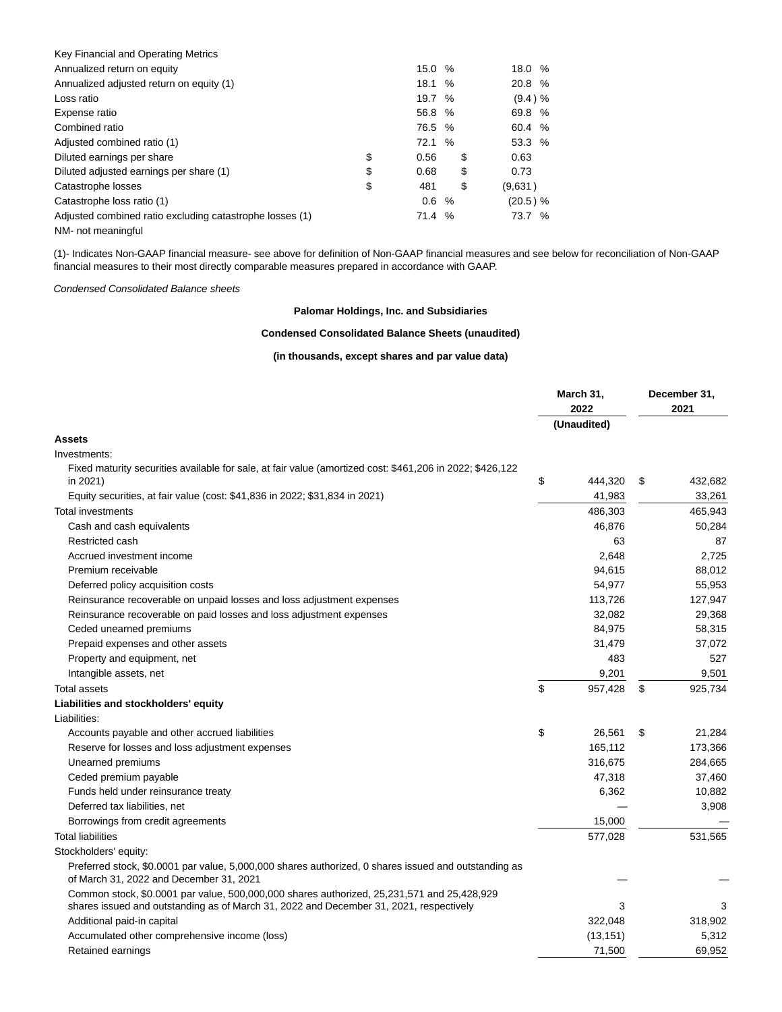| Key Financial and Operating Metrics                      |            |   |               |
|----------------------------------------------------------|------------|---|---------------|
| Annualized return on equity                              | 15.0 %     |   | 18.0 %        |
| Annualized adjusted return on equity (1)                 | 18.1 %     |   | 20.8 %        |
| Loss ratio                                               | 19.7 %     |   | (9.4) %       |
| Expense ratio                                            | 56.8 %     |   | 69.8 %        |
| Combined ratio                                           | 76.5 %     |   | 60.4 %        |
| Adjusted combined ratio (1)                              | 72.1       | % | 53.3 %        |
| Diluted earnings per share                               | \$<br>0.56 |   | \$<br>0.63    |
| Diluted adjusted earnings per share (1)                  | \$<br>0.68 |   | \$<br>0.73    |
| Catastrophe losses                                       | \$<br>481  |   | \$<br>(9,631) |
| Catastrophe loss ratio (1)                               | 0.6        | % | (20.5) %      |
| Adjusted combined ratio excluding catastrophe losses (1) | 71.4       | % | 73.7 %        |
| NM- not meaningful                                       |            |   |               |

(1)- Indicates Non-GAAP financial measure- see above for definition of Non-GAAP financial measures and see below for reconciliation of Non-GAAP financial measures to their most directly comparable measures prepared in accordance with GAAP.

## Condensed Consolidated Balance sheets

## **Palomar Holdings, Inc. and Subsidiaries**

### **Condensed Consolidated Balance Sheets (unaudited)**

### **(in thousands, except shares and par value data)**

|                                                                                                                                                 | March 31,<br>2022 |             | December 31,<br>2021 |         |
|-------------------------------------------------------------------------------------------------------------------------------------------------|-------------------|-------------|----------------------|---------|
|                                                                                                                                                 |                   | (Unaudited) |                      |         |
| <b>Assets</b>                                                                                                                                   |                   |             |                      |         |
| Investments:<br>Fixed maturity securities available for sale, at fair value (amortized cost: \$461,206 in 2022; \$426,122                       |                   |             |                      |         |
| in 2021)                                                                                                                                        | \$                | 444,320     | \$                   | 432,682 |
| Equity securities, at fair value (cost: \$41,836 in 2022; \$31,834 in 2021)                                                                     |                   | 41,983      |                      | 33,261  |
| Total investments                                                                                                                               |                   | 486,303     |                      | 465,943 |
| Cash and cash equivalents                                                                                                                       |                   | 46,876      |                      | 50,284  |
| Restricted cash                                                                                                                                 |                   | 63          |                      | 87      |
| Accrued investment income                                                                                                                       |                   | 2,648       |                      | 2,725   |
| Premium receivable                                                                                                                              |                   | 94,615      |                      | 88,012  |
| Deferred policy acquisition costs                                                                                                               |                   | 54,977      |                      | 55,953  |
| Reinsurance recoverable on unpaid losses and loss adjustment expenses                                                                           |                   | 113,726     |                      | 127,947 |
| Reinsurance recoverable on paid losses and loss adjustment expenses                                                                             |                   | 32,082      |                      | 29,368  |
| Ceded unearned premiums                                                                                                                         |                   | 84,975      |                      | 58,315  |
| Prepaid expenses and other assets                                                                                                               |                   | 31,479      |                      | 37,072  |
| Property and equipment, net                                                                                                                     |                   | 483         |                      | 527     |
| Intangible assets, net                                                                                                                          |                   | 9,201       |                      | 9,501   |
| <b>Total assets</b>                                                                                                                             | \$                | 957,428     | \$                   | 925,734 |
| Liabilities and stockholders' equity                                                                                                            |                   |             |                      |         |
| Liabilities:                                                                                                                                    |                   |             |                      |         |
| Accounts payable and other accrued liabilities                                                                                                  | \$                | 26,561      | \$                   | 21,284  |
| Reserve for losses and loss adjustment expenses                                                                                                 |                   | 165,112     |                      | 173,366 |
| Unearned premiums                                                                                                                               |                   | 316,675     |                      | 284,665 |
| Ceded premium payable                                                                                                                           |                   | 47,318      |                      | 37,460  |
| Funds held under reinsurance treaty                                                                                                             |                   | 6,362       |                      | 10,882  |
| Deferred tax liabilities, net                                                                                                                   |                   |             |                      | 3,908   |
| Borrowings from credit agreements                                                                                                               |                   | 15,000      |                      |         |
| <b>Total liabilities</b>                                                                                                                        |                   | 577,028     |                      | 531,565 |
| Stockholders' equity:                                                                                                                           |                   |             |                      |         |
| Preferred stock, \$0.0001 par value, 5,000,000 shares authorized, 0 shares issued and outstanding as<br>of March 31, 2022 and December 31, 2021 |                   |             |                      |         |
| Common stock, \$0.0001 par value, 500,000,000 shares authorized, 25,231,571 and 25,428,929                                                      |                   |             |                      |         |
| shares issued and outstanding as of March 31, 2022 and December 31, 2021, respectively                                                          |                   | 3           |                      | 3       |
| Additional paid-in capital                                                                                                                      |                   | 322,048     |                      | 318,902 |
| Accumulated other comprehensive income (loss)                                                                                                   |                   | (13, 151)   |                      | 5,312   |
| Retained earnings                                                                                                                               |                   | 71,500      |                      | 69.952  |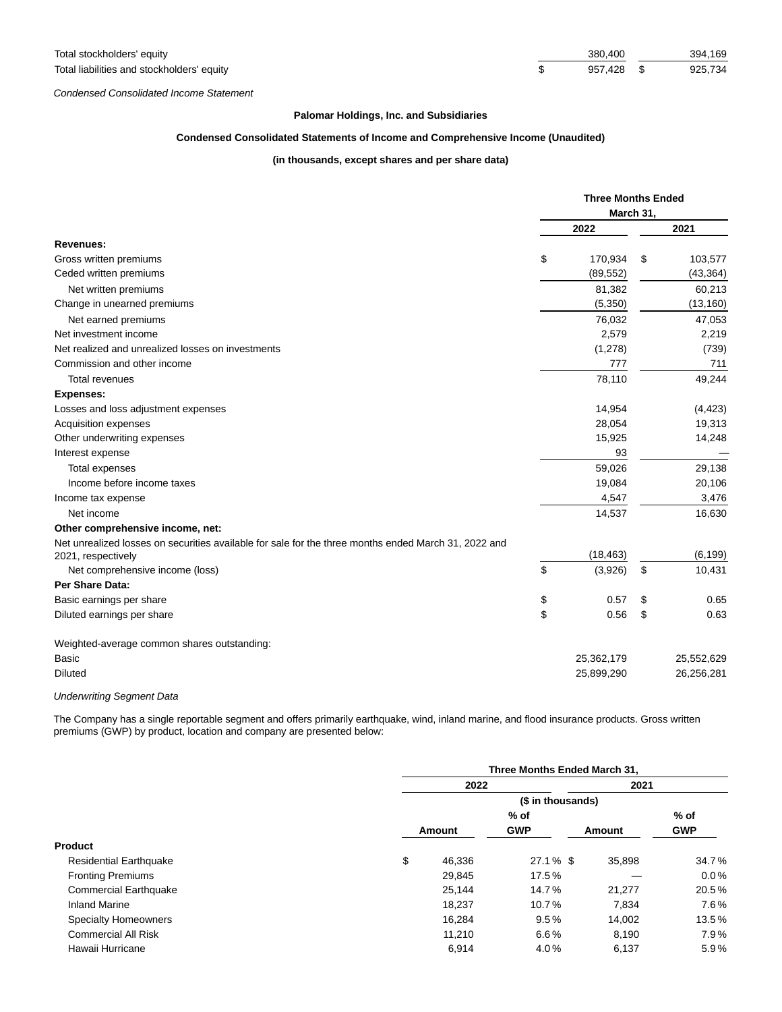Condensed Consolidated Income Statement

### **Palomar Holdings, Inc. and Subsidiaries**

# **Condensed Consolidated Statements of Income and Comprehensive Income (Unaudited)**

### **(in thousands, except shares and per share data)**

|                                                                                                      | <b>Three Months Ended</b><br>March 31, |               |
|------------------------------------------------------------------------------------------------------|----------------------------------------|---------------|
|                                                                                                      | 2022                                   | 2021          |
| <b>Revenues:</b>                                                                                     |                                        |               |
| Gross written premiums                                                                               | \$<br>170,934                          | \$<br>103,577 |
| Ceded written premiums                                                                               | (89, 552)                              | (43, 364)     |
| Net written premiums                                                                                 | 81,382                                 | 60,213        |
| Change in unearned premiums                                                                          | (5,350)                                | (13, 160)     |
| Net earned premiums                                                                                  | 76,032                                 | 47,053        |
| Net investment income                                                                                | 2,579                                  | 2,219         |
| Net realized and unrealized losses on investments                                                    | (1, 278)                               | (739)         |
| Commission and other income                                                                          | 777                                    | 711           |
| <b>Total revenues</b>                                                                                | 78,110                                 | 49,244        |
| <b>Expenses:</b>                                                                                     |                                        |               |
| Losses and loss adjustment expenses                                                                  | 14,954                                 | (4, 423)      |
| Acquisition expenses                                                                                 | 28,054                                 | 19,313        |
| Other underwriting expenses                                                                          | 15,925                                 | 14,248        |
| Interest expense                                                                                     | 93                                     |               |
| Total expenses                                                                                       | 59,026                                 | 29,138        |
| Income before income taxes                                                                           | 19,084                                 | 20,106        |
| Income tax expense                                                                                   | 4,547                                  | 3,476         |
| Net income                                                                                           | 14,537                                 | 16,630        |
| Other comprehensive income, net:                                                                     |                                        |               |
| Net unrealized losses on securities available for sale for the three months ended March 31, 2022 and |                                        |               |
| 2021, respectively                                                                                   | (18, 463)                              | (6, 199)      |
| Net comprehensive income (loss)                                                                      | \$<br>(3,926)                          | \$<br>10,431  |
| Per Share Data:                                                                                      |                                        |               |
| Basic earnings per share                                                                             | \$<br>0.57                             | \$<br>0.65    |
| Diluted earnings per share                                                                           | \$<br>0.56                             | \$<br>0.63    |
| Weighted-average common shares outstanding:                                                          |                                        |               |
| <b>Basic</b>                                                                                         | 25,362,179                             | 25,552,629    |
| <b>Diluted</b>                                                                                       | 25,899,290                             | 26,256,281    |

## Underwriting Segment Data

The Company has a single reportable segment and offers primarily earthquake, wind, inland marine, and flood insurance products. Gross written premiums (GWP) by product, location and company are presented below:

|                               | Three Months Ended March 31. |             |        |            |  |  |  |
|-------------------------------|------------------------------|-------------|--------|------------|--|--|--|
|                               | 2022                         |             | 2021   |            |  |  |  |
|                               | (\$ in thousands)            |             |        |            |  |  |  |
|                               |                              | % of        |        | $%$ of     |  |  |  |
|                               | Amount                       | <b>GWP</b>  | Amount | <b>GWP</b> |  |  |  |
| <b>Product</b>                |                              |             |        |            |  |  |  |
| <b>Residential Earthquake</b> | \$<br>46,336                 | $27.1\%$ \$ | 35,898 | 34.7%      |  |  |  |
| <b>Fronting Premiums</b>      | 29,845                       | 17.5%       |        | $0.0\%$    |  |  |  |
| <b>Commercial Earthquake</b>  | 25,144                       | 14.7%       | 21,277 | 20.5%      |  |  |  |
| <b>Inland Marine</b>          | 18,237                       | 10.7%       | 7,834  | 7.6%       |  |  |  |
| <b>Specialty Homeowners</b>   | 16,284                       | 9.5%        | 14,002 | 13.5%      |  |  |  |
| <b>Commercial All Risk</b>    | 11,210                       | 6.6%        | 8,190  | 7.9%       |  |  |  |
| Hawaii Hurricane              | 6,914                        | 4.0%        | 6,137  | 5.9%       |  |  |  |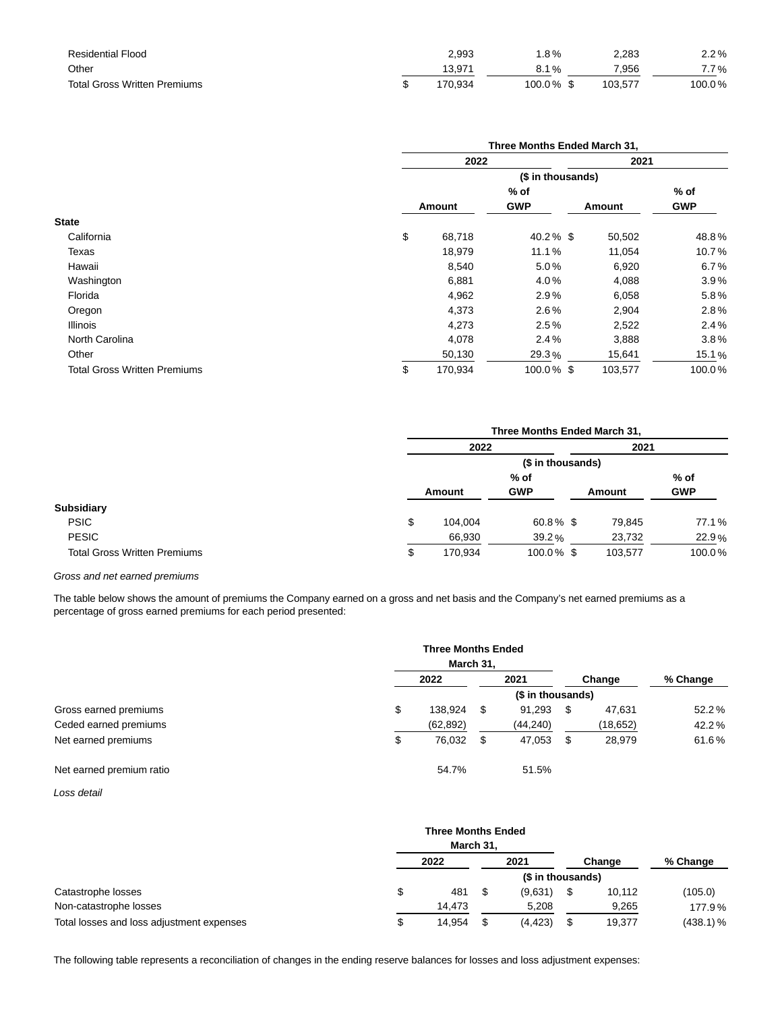| <b>Residential Flood</b>            | 2.993   | $.8\%$       | 2,283   | 2.2%   |
|-------------------------------------|---------|--------------|---------|--------|
| Other                               | 13.97′  | $9.1\%$      | 7,956   | 7.7%   |
| <b>Total Gross Written Premiums</b> | 170.934 | $100.0\%$ \$ | 103.577 | 100.0% |

|                                     | Three Months Ended March 31, |                   |         |            |  |  |  |
|-------------------------------------|------------------------------|-------------------|---------|------------|--|--|--|
|                                     | 2021<br>2022                 |                   |         |            |  |  |  |
|                                     |                              | (\$ in thousands) |         |            |  |  |  |
|                                     |                              | % of              |         | $%$ of     |  |  |  |
|                                     | Amount                       | <b>GWP</b>        | Amount  | <b>GWP</b> |  |  |  |
| <b>State</b>                        |                              |                   |         |            |  |  |  |
| California                          | \$<br>68,718                 | 40.2% \$          | 50,502  | 48.8%      |  |  |  |
| Texas                               | 18,979                       | 11.1%             | 11,054  | 10.7%      |  |  |  |
| Hawaii                              | 8,540                        | 5.0%              | 6,920   | 6.7%       |  |  |  |
| Washington                          | 6,881                        | 4.0%              | 4,088   | 3.9%       |  |  |  |
| Florida                             | 4,962                        | 2.9%              | 6,058   | 5.8%       |  |  |  |
| Oregon                              | 4,373                        | $2.6\%$           | 2,904   | 2.8%       |  |  |  |
| <b>Illinois</b>                     | 4,273                        | 2.5%              | 2,522   | 2.4%       |  |  |  |
| North Carolina                      | 4,078                        | 2.4%              | 3,888   | $3.8\%$    |  |  |  |
| Other                               | 50,130                       | 29.3%             | 15,641  | 15.1%      |  |  |  |
| <b>Total Gross Written Premiums</b> | \$<br>170,934                | 100.0% \$         | 103,577 | 100.0%     |  |  |  |

|                                     | Three Months Ended March 31, |         |                   |  |         |            |
|-------------------------------------|------------------------------|---------|-------------------|--|---------|------------|
|                                     |                              | 2022    |                   |  | 2021    |            |
|                                     |                              |         | (\$ in thousands) |  |         |            |
|                                     |                              |         | $%$ of            |  |         | $%$ of     |
|                                     |                              | Amount  | <b>GWP</b>        |  | Amount  | <b>GWP</b> |
| <b>Subsidiary</b>                   |                              |         |                   |  |         |            |
| <b>PSIC</b>                         | \$                           | 104.004 | $60.8\%$ \$       |  | 79,845  | 77.1%      |
| <b>PESIC</b>                        |                              | 66,930  | 39.2%             |  | 23,732  | 22.9%      |
| <b>Total Gross Written Premiums</b> | \$                           | 170,934 | $100.0\%$ \$      |  | 103,577 | 100.0%     |

## Gross and net earned premiums

The table below shows the amount of premiums the Company earned on a gross and net basis and the Company's net earned premiums as a percentage of gross earned premiums for each period presented:

|                          | <b>Three Months Ended</b><br>March 31, |   |                   |              |          |
|--------------------------|----------------------------------------|---|-------------------|--------------|----------|
|                          | 2022                                   |   | 2021              | Change       | % Change |
|                          |                                        |   | (\$ in thousands) |              |          |
| Gross earned premiums    | \$<br>138.924                          | S | 91,293            | \$<br>47,631 | 52.2%    |
| Ceded earned premiums    | (62, 892)                              |   | (44, 240)         | (18,652)     | 42.2%    |
| Net earned premiums      | \$<br>76,032                           | S | 47,053            | \$<br>28,979 | 61.6%    |
| Net earned premium ratio | 54.7%                                  |   | 51.5%             |              |          |

Loss detail

|                                           |    | <b>Three Months Ended</b> |  |                   |          |             |
|-------------------------------------------|----|---------------------------|--|-------------------|----------|-------------|
|                                           |    | March 31,                 |  |                   |          |             |
|                                           |    | 2022<br>2021              |  | Change            | % Change |             |
|                                           |    |                           |  | (\$ in thousands) |          |             |
| Catastrophe losses                        | \$ | 481                       |  | (9,631)           | 10,112   | (105.0)     |
| Non-catastrophe losses                    |    | 14.473                    |  | 5,208             | 9,265    | 177.9%      |
| Total losses and loss adjustment expenses | S  | 14,954                    |  | (4, 423)          | 19,377   | $(438.1)$ % |

The following table represents a reconciliation of changes in the ending reserve balances for losses and loss adjustment expenses: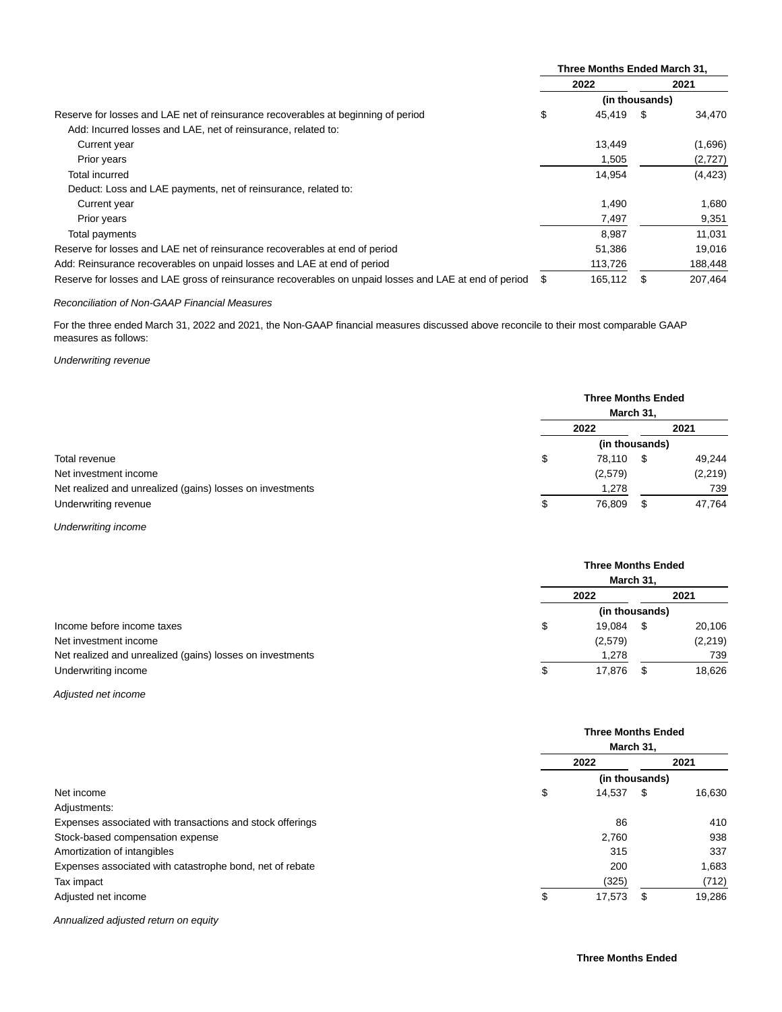|                                                                                                        |    | Three Months Ended March 31, |   |          |
|--------------------------------------------------------------------------------------------------------|----|------------------------------|---|----------|
|                                                                                                        |    | 2022                         |   | 2021     |
|                                                                                                        |    | (in thousands)               |   |          |
| Reserve for losses and LAE net of reinsurance recoverables at beginning of period                      | \$ | 45.419                       | S | 34.470   |
| Add: Incurred losses and LAE, net of reinsurance, related to:                                          |    |                              |   |          |
| Current year                                                                                           |    | 13.449                       |   | (1,696)  |
| Prior years                                                                                            |    | 1,505                        |   | (2,727)  |
| <b>Total incurred</b>                                                                                  |    | 14.954                       |   | (4, 423) |
| Deduct: Loss and LAE payments, net of reinsurance, related to:                                         |    |                              |   |          |
| Current year                                                                                           |    | 1,490                        |   | 1,680    |
| Prior years                                                                                            |    | 7,497                        |   | 9,351    |
| Total payments                                                                                         |    | 8.987                        |   | 11.031   |
| Reserve for losses and LAE net of reinsurance recoverables at end of period                            |    | 51,386                       |   | 19,016   |
| Add: Reinsurance recoverables on unpaid losses and LAE at end of period                                |    | 113,726                      |   | 188,448  |
| Reserve for losses and LAE gross of reinsurance recoverables on unpaid losses and LAE at end of period | S  | 165,112                      | S | 207.464  |

## Reconciliation of Non-GAAP Financial Measures

For the three ended March 31, 2022 and 2021, the Non-GAAP financial measures discussed above reconcile to their most comparable GAAP measures as follows:

Underwriting revenue

|                                                           | <b>Three Months Ended</b><br>March 31, |   |          |
|-----------------------------------------------------------|----------------------------------------|---|----------|
|                                                           | 2022                                   |   |          |
|                                                           | (in thousands)                         |   |          |
| Total revenue                                             | \$<br>78,110                           | S | 49,244   |
| Net investment income                                     | (2,579)                                |   | (2, 219) |
| Net realized and unrealized (gains) losses on investments | 739<br>1.278                           |   |          |
| Underwriting revenue                                      | \$<br>76,809                           | S | 47,764   |

Underwriting income

|                                                           | <b>Three Months Ended</b><br>March 31, |                |      |         |
|-----------------------------------------------------------|----------------------------------------|----------------|------|---------|
|                                                           | 2022                                   |                | 2021 |         |
|                                                           |                                        | (in thousands) |      |         |
| Income before income taxes                                | \$                                     | 19.084         | S    | 20,106  |
| Net investment income                                     |                                        | (2,579)        |      | (2,219) |
| Net realized and unrealized (gains) losses on investments |                                        | 1,278          |      |         |
| Underwriting income                                       | \$                                     | 17,876         |      | 18,626  |

## Adjusted net income

|                                                           | <b>Three Months Ended</b><br>March 31, |        |                |        |
|-----------------------------------------------------------|----------------------------------------|--------|----------------|--------|
|                                                           | 2022                                   |        |                | 2021   |
|                                                           |                                        |        | (in thousands) |        |
| Net income                                                | \$                                     | 14,537 | S              | 16.630 |
| Adjustments:                                              |                                        |        |                |        |
| Expenses associated with transactions and stock offerings |                                        | 86     |                | 410    |
| Stock-based compensation expense                          |                                        | 2,760  |                | 938    |
| Amortization of intangibles                               |                                        | 315    |                | 337    |
| Expenses associated with catastrophe bond, net of rebate  |                                        | 200    |                | 1,683  |
| Tax impact                                                |                                        | (325)  |                | (712)  |
| Adjusted net income                                       | \$                                     | 17,573 | S              | 19,286 |

Annualized adjusted return on equity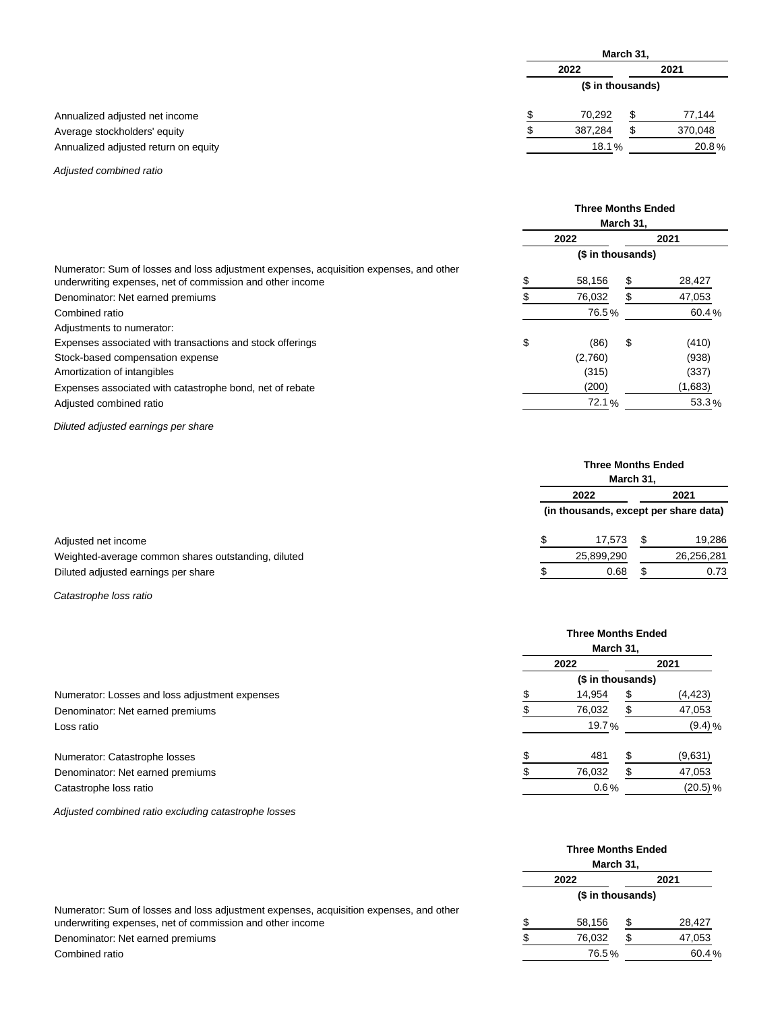|                                      | March 31,         |     |         |  |
|--------------------------------------|-------------------|-----|---------|--|
|                                      | 2022              |     | 2021    |  |
|                                      | (\$ in thousands) |     |         |  |
| Annualized adjusted net income       | 70.292            | \$. | 77,144  |  |
| Average stockholders' equity         | 387,284           |     | 370,048 |  |
| Annualized adjusted return on equity | 18.1%             |     | 20.8%   |  |

Adjusted combined ratio

|                                                                                                                                                     | <b>Three Months Ended</b><br>March 31. |                   |    |         |  |
|-----------------------------------------------------------------------------------------------------------------------------------------------------|----------------------------------------|-------------------|----|---------|--|
|                                                                                                                                                     | 2022                                   |                   |    | 2021    |  |
|                                                                                                                                                     |                                        | (\$ in thousands) |    |         |  |
| Numerator: Sum of losses and loss adjustment expenses, acquisition expenses, and other<br>underwriting expenses, net of commission and other income | J.                                     | 58,156            | S  | 28,427  |  |
| Denominator: Net earned premiums                                                                                                                    |                                        | 76,032            | S  | 47,053  |  |
| Combined ratio                                                                                                                                      |                                        | 76.5%             |    | 60.4%   |  |
| Adjustments to numerator:                                                                                                                           |                                        |                   |    |         |  |
| Expenses associated with transactions and stock offerings                                                                                           | \$                                     | (86)              | \$ | (410)   |  |
| Stock-based compensation expense                                                                                                                    |                                        | (2,760)           |    | (938)   |  |
| Amortization of intangibles                                                                                                                         |                                        | (315)             |    | (337)   |  |
| Expenses associated with catastrophe bond, net of rebate                                                                                            |                                        | (200)             |    | (1,683) |  |
| Adjusted combined ratio                                                                                                                             |                                        | 72.1%             |    | 53.3%   |  |

Diluted adjusted earnings per share

|                                                     | <b>Three Months Ended</b><br>March 31, |        |  |            |
|-----------------------------------------------------|----------------------------------------|--------|--|------------|
|                                                     |                                        | 2022   |  | 2021       |
|                                                     | (in thousands, except per share data)  |        |  |            |
| Adjusted net income                                 |                                        | 17,573 |  | 19,286     |
| Weighted-average common shares outstanding, diluted | 25,899,290                             |        |  | 26,256,281 |
| Diluted adjusted earnings per share                 |                                        | 0.68   |  | 0.73       |

Catastrophe loss ratio

|                                                | <b>Three Months Ended</b><br>March 31, |                   |   |            |  |
|------------------------------------------------|----------------------------------------|-------------------|---|------------|--|
|                                                | 2022                                   |                   |   | 2021       |  |
| Numerator: Losses and loss adjustment expenses |                                        | (\$ in thousands) |   |            |  |
|                                                |                                        | 14,954            | S | (4, 423)   |  |
| Denominator: Net earned premiums               |                                        | 76,032            | Ъ | 47,053     |  |
| Loss ratio                                     |                                        | 19.7%             |   | (9.4)%     |  |
| Numerator: Catastrophe losses                  |                                        | 481               | S | (9,631)    |  |
| Denominator: Net earned premiums               |                                        | 76,032            |   | 47,053     |  |
| Catastrophe loss ratio                         |                                        | $0.6\%$           |   | $(20.5)$ % |  |

Adjusted combined ratio excluding catastrophe losses

|                                                                                                                                                     | <b>Three Months Ended</b><br>March 31, |        |  |        |
|-----------------------------------------------------------------------------------------------------------------------------------------------------|----------------------------------------|--------|--|--------|
|                                                                                                                                                     | 2022                                   |        |  | 2021   |
|                                                                                                                                                     | (\$ in thousands)                      |        |  |        |
| Numerator: Sum of losses and loss adjustment expenses, acquisition expenses, and other<br>underwriting expenses, net of commission and other income |                                        | 58,156 |  | 28,427 |
| Denominator: Net earned premiums                                                                                                                    |                                        | 76,032 |  | 47,053 |
| Combined ratio                                                                                                                                      |                                        | 76.5%  |  | 60.4%  |